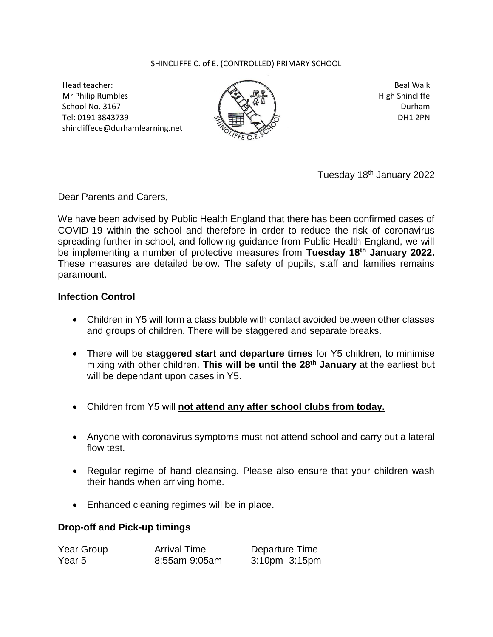## SHINCLIFFE C. of E. (CONTROLLED) PRIMARY SCHOOL

Head teacher: Mr Philip Rumbles School No. 3167 Tel: 0191 3843739 shincliffece@durhamlearning.net



Beal Walk High Shincliffe Durham DH1 2PN

Tuesday 18th January 2022

Dear Parents and Carers,

We have been advised by Public Health England that there has been confirmed cases of COVID-19 within the school and therefore in order to reduce the risk of coronavirus spreading further in school, and following guidance from Public Health England, we will be implementing a number of protective measures from **Tuesday 18th January 2022.** These measures are detailed below. The safety of pupils, staff and families remains paramount.

## **Infection Control**

- Children in Y5 will form a class bubble with contact avoided between other classes and groups of children. There will be staggered and separate breaks.
- There will be **staggered start and departure times** for Y5 children, to minimise mixing with other children. **This will be until the 28th January** at the earliest but will be dependant upon cases in Y5.
- Children from Y5 will **not attend any after school clubs from today.**
- Anyone with coronavirus symptoms must not attend school and carry out a lateral flow test.
- Regular regime of hand cleansing. Please also ensure that your children wash their hands when arriving home.
- Enhanced cleaning regimes will be in place.

## **Drop-off and Pick-up timings**

| Year Group | <b>Arrival Time</b> | Departure Time       |
|------------|---------------------|----------------------|
| Year 5     | 8:55am-9:05am       | $3:10$ pm- $3:15$ pm |